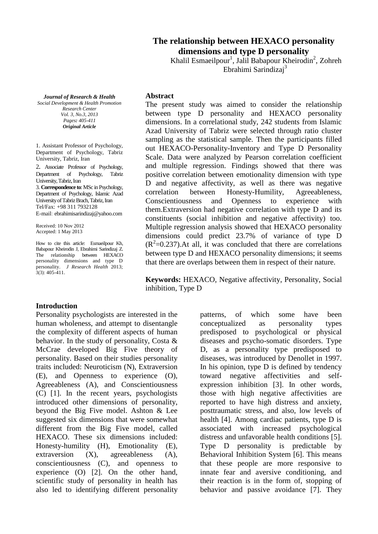# **The relationship between HEXACO personality dimensions and type D personality**

Khalil Esmaeilpour<sup>1</sup>, Jalil Babapour Kheirodin<sup>2</sup>, Zohreh Ebrahimi Sarindizaj<sup>3</sup>

*Journal of Research & Health*

*Social Development & Health Promotion Research Center Vol. 3, No.3, 2013 Pages: 405-411 Original Article*

1. Assistant Professor of Psychology, Department of Psychology, Tabriz University, Tabriz, Iran

2. Associate Professor of Psychology, Department of Psychology, Tabriz University, Tabriz, Iran 3. **Correspondence to**: MSc in Psychology, Department of Psychology, Islamic Azad University of Tabriz Brach, Tabriz, Iran Tel/Fax: +98 311 7932128 E-mail: ebrahimisarindizaj@yahoo.com

Received: 10 Nov 2012 Accepted: 1 May 2013

How to cite this article: Esmaeilpour Kh, Babapour Kheirodin J, Ebrahimi Sarindizaj Z. The relationship between HEXACO personality dimensions and type D personality. *J Research Health* 2013; 3(3): 405-411.

#### **Abstract**

The present study was aimed to consider the relationship between type D personality and HEXACO personality dimensions. In a correlational study, 242 students from Islamic Azad University of Tabriz were selected through ratio cluster sampling as the statistical sample. Then the participants filled out HEXACO-Personality-Inventory and Type D Personality Scale. Data were analyzed by Pearson correlation coefficient and multiple regression. Findings showed that there was positive correlation between emotionality dimension with type D and negative affectivity, as well as there was negative correlation between Honesty-Humility, Agreeableness, Conscientiousness and Openness to experience with them.Extraversion had negative correlation with type D and its constituents (social inhibition and negative affectivity) too. Multiple regression analysis showed that HEXACO personality dimensions could predict 23.7% of variance of type D  $(R<sup>2</sup>=0.237)$ . At all, it was concluded that there are correlations between type D and HEXACO personality dimensions; it seems that there are overlaps between them in respect of their nature.

**Keywords:** HEXACO, Negative affectivity, Personality, Social inhibition, Type D

#### **Introduction**

Personality psychologists are interested in the human wholeness, and attempt to disentangle the complexity of different aspects of human behavior. In the study of personality, Costa & McCrae developed Big Five theory of personality. Based on their studies personality traits included: Neuroticism (N), Extraversion (E), and Openness to experience (O), Agreeableness (A), and Conscientiousness (C) [1]. In the recent years, psychologists introduced other dimensions of personality, beyond the Big Five model. Ashton & Lee suggested six dimensions that were somewhat different from the Big Five model, called HEXACO. These six dimensions included: Honesty-humility (H), Emotionality (E), extraversion (X), agreeableness (A), conscientiousness (C), and openness to experience (O) [2]. On the other hand, scientific study of personality in health has also led to identifying different personality

patterns, of which some have been conceptualized as personality types predisposed to psychological or physical diseases and psycho-somatic disorders. Type D, as a personality type predisposed to diseases, was introduced by Denollet in 1997. In his opinion, type D is defined by tendency toward negative affectivities and selfexpression inhibition [3]. In other words, those with high negative affectivities are reported to have high distress and anxiety, posttraumatic stress, and also, low levels of health [4]. Among cardiac patients, type D is associated with increased psychological distress and unfavorable health conditions [5]. Type D personality is predictable by Behavioral Inhibition System [6]. This means that these people are more responsive to innate fear and aversive conditioning, and their reaction is in the form of, stopping of behavior and passive avoidance [7]. They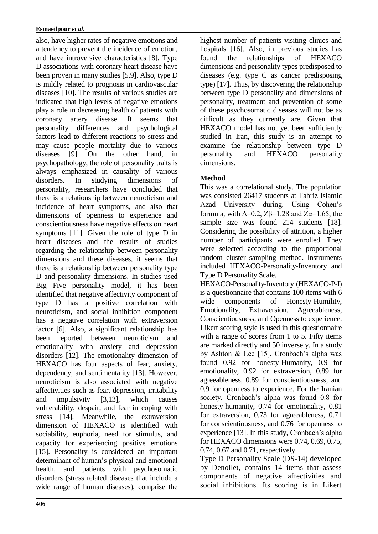also, have higher rates of negative emotions and a tendency to prevent the incidence of emotion, and have introversive characteristics [8]. Type D associations with coronary heart disease have been proven in many studies [5,9]. Also, type D is mildly related to prognosis in cardiovascular diseases [10]. The results of various studies are indicated that high levels of negative emotions play a role in decreasing health of patients with coronary artery disease. It seems that personality differences and psychological factors lead to different reactions to stress and may cause people mortality due to various diseases [9]. On the other hand, in psychopathology, the role of personality traits is always emphasized in causality of various disorders. In studying dimensions of personality, researchers have concluded that there is a relationship between neuroticism and incidence of heart symptoms, and also that dimensions of openness to experience and conscientiousness have negative effects on heart symptoms [11]. Given the role of type D in heart diseases and the results of studies regarding the relationship between personality dimensions and these diseases, it seems that there is a relationship between personality type D and personality dimensions. In studies used Big Five personality model, it has been identified that negative affectivity component of type D has a positive correlation with neuroticism, and social inhibition component has a negative correlation with extraversion factor [6]. Also, a significant relationship has been reported between neuroticism and emotionality with anxiety and depression disorders [12]. The emotionality dimension of HEXACO has four aspects of fear, anxiety, dependency, and sentimentality [13]. However, neuroticism is also associated with negative affectivities such as fear, depression, irritability and impulsivity [3,13], which causes vulnerability, despair, and fear in coping with stress [14]. Meanwhile, the extraversion dimension of HEXACO is identified with sociability, euphoria, need for stimulus, and capacity for experiencing positive emotions [15]. Personality is considered an important determinant of human's physical and emotional health, and patients with psychosomatic disorders (stress related diseases that include a wide range of human diseases), comprise the

highest number of patients visiting clinics and hospitals [16]. Also, in previous studies has found the relationships of HEXACO dimensions and personality types predisposed to diseases (e.g. type C as cancer predisposing type) [17]. Thus, by discovering the relationship between type D personality and dimensions of personality, treatment and prevention of some of these psychosomatic diseases will not be as difficult as they currently are. Given that HEXACO model has not yet been sufficiently studied in Iran, this study is an attempt to examine the relationship between type D personality and HEXACO personality dimensions.

## **Method**

This was a correlational study. The population was consisted 26417 students at Tabriz Islamic Azad University during. Using Cohen's formula, with  $\Delta = 0.2$ ,  $Z\beta = 1.28$  and  $Z\alpha = 1.65$ , the sample size was found 214 students [18]. Considering the possibility of attrition, a higher number of participants were enrolled. They were selected according to the proportional random cluster sampling method. Instruments included HEXACO-Personality-Inventory and Type D Personality Scale.

HEXACO-Personality-Inventory (HEXACO-P-I) is a questionnaire that contains 100 items with 6 wide components of Honesty-Humility, Emotionality, Extraversion, Agreeableness, Conscientiousness, and Openness to experience. Likert scoring style is used in this questionnaire with a range of scores from 1 to 5. Fifty items are marked directly and 50 inversely. In a study by Ashton & Lee [15], Cronbach's alpha was found 0.92 for honesty-Humanity, 0.9 for emotionality, 0.92 for extraversion, 0.89 for agreeableness, 0.89 for conscientiousness, and 0.9 for openness to experience. For the Iranian society, Cronbach's alpha was found 0.8 for honesty-humanity, 0.74 for emotionality, 0.81 for extraversion, 0.73 for agreeableness, 0.71 for conscientiousness, and 0.76 for openness to experience [13]. In this study, Cronbach's alpha for HEXACO dimensions were 0.74, 0.69, 0.75, 0.74, 0.67 and 0.71, respectively.

Type D Personality Scale (DS-14) developed by Denollet, contains 14 items that assess components of negative affectivities and social inhibitions. Its scoring is in Likert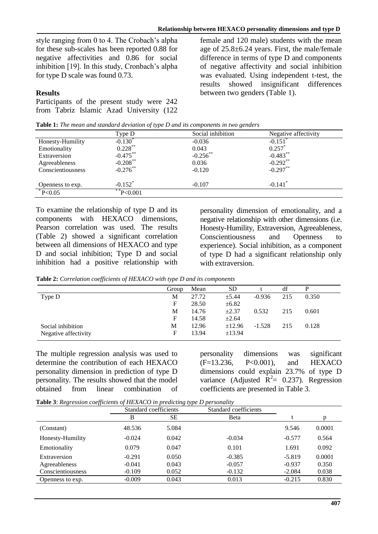style ranging from 0 to 4. The Crobach's alpha for these sub-scales has been reported 0.88 for negative affectivities and 0.86 for social inhibition [19]. In this study, Cronbach's alpha for type D scale was found 0.73.

## **Results**

Participants of the present study were 242 from Tabriz Islamic Azad University (122 female and 120 male) students with the mean age of 25.8±6.24 years. First, the male/female difference in terms of type D and components of negative affectivity and social inhibition was evaluated. Using independent t-test, the results showed insignificant differences between two genders (Table 1).

|                   |                       | <b>Table 1:</b> The mean and standard deviation of type D and its components in two genders |                       |  |
|-------------------|-----------------------|---------------------------------------------------------------------------------------------|-----------------------|--|
|                   | Type D                | Social inhibition                                                                           | Negative affectivity  |  |
| Honesty-Humility  | $-0.130*$             | $-0.036$                                                                                    | $-0.151$ <sup>*</sup> |  |
| Emotionality      | $0.228***$            | 0.043                                                                                       | $0.257$ *             |  |
| Extraversion      | $-0.475***$           | $-0.256$ **                                                                                 | $-0.483***$           |  |
| Agreeableness     | $-0.208$ **           | 0.036                                                                                       | $-0.292**$            |  |
| Conscientiousness | $-0.276$ **           | $-0.120$                                                                                    | $-0.297***$           |  |
| Openness to exp.  | $-0.152$ <sup>*</sup> | $-0.107$                                                                                    | $-0.141$ <sup>*</sup> |  |
| $*P<0.05$         | $*$ $P< 0.001$        |                                                                                             |                       |  |

**Table 1:** *The mean and standard deviation of type D and its components in two genders*

To examine the relationship of type D and its components with HEXACO dimensions, Pearson correlation was used. The results (Table 2) showed a significant correlation between all dimensions of HEXACO and type D and social inhibition; Type D and social inhibition had a positive relationship with

personality dimension of emotionality, and a negative relationship with other dimensions (i.e. Honesty-Humility, Extraversion, Agreeableness, Conscientiousness and Openness to experience). Social inhibition, as a component of type D had a significant relationship only with extraversion.

**Table 2:** *Correlation coefficients of HEXACO with type D and its components*

|                      | Group | Mean  | <b>SD</b>  |          | df  | р     |
|----------------------|-------|-------|------------|----------|-----|-------|
| Type D               | М     | 27.72 | $\pm$ 5.44 | $-0.936$ | 215 | 0.350 |
|                      | F     | 28.50 | $\pm 6.82$ |          |     |       |
|                      | M     | 14.76 | $\pm 2.37$ | 0.532    | 215 | 0.601 |
|                      | F     | 14.58 | $\pm 2.64$ |          |     |       |
| Social inhibition    | М     | 12.96 | ±12.96     | $-1.528$ | 215 | 0.128 |
| Negative affectivity | F     | 13.94 | ±13.94     |          |     |       |

The multiple regression analysis was used to determine the contribution of each HEXACO personality dimension in prediction of type D personality. The results showed that the model obtained from linear combination of personality dimensions was significant (F=13.236, P<0.001), and HEXACO dimensions could explain 23.7% of type D variance (Adjusted  $\overline{R}^2 = 0.237$ ). Regression coefficients are presented in Table 3.

|  |  | <b>Table 3:</b> Regression coefficients of HEXACO in predicting type D personality |  |
|--|--|------------------------------------------------------------------------------------|--|

|                   | Standard coefficients |           | Standard coefficients |          |        |
|-------------------|-----------------------|-----------|-----------------------|----------|--------|
|                   | B                     | <b>SE</b> | Beta                  |          | D      |
| (Constant)        | 48.536                | 5.084     |                       | 9.546    | 0.0001 |
| Honesty-Humility  | $-0.024$              | 0.042     | $-0.034$              | $-0.577$ | 0.564  |
| Emotionality      | 0.079                 | 0.047     | 0.101                 | 1.691    | 0.092  |
| Extraversion      | $-0.291$              | 0.050     | $-0.385$              | $-5.819$ | 0.0001 |
| Agreeableness     | $-0.041$              | 0.043     | $-0.057$              | $-0.937$ | 0.350  |
| Conscientiousness | $-0.109$              | 0.052     | $-0.132$              | $-2.084$ | 0.038  |
| Openness to exp.  | $-0.009$              | 0.043     | 0.013                 | $-0.215$ | 0.830  |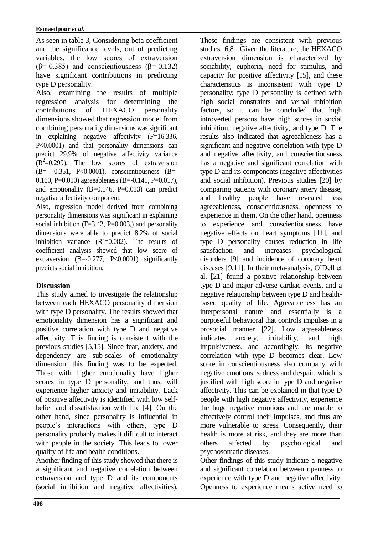As seen in table 3, Considering beta coefficient and the significance levels, out of predicting variables, the low scores of extraversion ( $\beta$ =-0.385) and conscientiousness ( $\beta$ =-0.132) have significant contributions in predicting type D personality.

Also, examining the results of multiple regression analysis for determining the contributions of HEXACO personality dimensions showed that regression model from combining personality dimensions was significant in explaining negative affectivity (F=16.336, P<0.0001) and that personality dimensions can predict 29.9% of negative affectivity variance  $(R<sup>2</sup>=0.299)$ . The low scores of extraversion (B= -0.351, P<0.0001), conscientiousness (B=- 0.160, P=0.010) agreeableness (B=-0.141, P=0.017), and emotionality (B=0.146, P=0.013) can predict negative affectivity component.

Also, regression model derived from combining personality dimensions was significant in explaining social inhibition  $(F=3.42, P=0.003)$ , and personality dimensions were able to predict 8.2% of social inhibition variance  $(R^2=0.082)$ . The results of coefficient analysis showed that low score of extraversion  $(B=-0.277, P<0.0001)$  significantly predicts social inhibition.

## **Discussion**

This study aimed to investigate the relationship between each HEXACO personality dimension with type D personality. The results showed that emotionality dimension has a significant and positive correlation with type D and negative affectivity. This finding is consistent with the previous studies [5,15]. Since fear, anxiety, and dependency are sub-scales of emotionality dimension, this finding was to be expected. Those with higher emotionality have higher scores in type D personality, and thus, will experience higher anxiety and irritability. Lack of positive affectivity is identified with low selfbelief and dissatisfaction with life [4]. On the other hand, since personality is influential in people's interactions with others, type D personality probably makes it difficult to interact with people in the society. This leads to lower quality of life and health conditions.

Another finding of this study showed that there is a significant and negative correlation between extraversion and type D and its components (social inhibition and negative affectivities).

These findings are consistent with previous studies [6,8]. Given the literature, the HEXACO extraversion dimension is characterized by sociability, euphoria, need for stimulus, and capacity for positive affectivity [15], and these characteristics is inconsistent with type D personality; type D personality is defined with high social constraints and verbal inhibition factors, so it can be concluded that high introverted persons have high scores in social inhibition, negative affectivity, and type D. The results also indicated that agreeableness has a significant and negative correlation with type D and negative affectivity, and conscientiousness has a negative and significant correlation with type D and its components (negative affectivities and social inhibition). Previous studies [20] by comparing patients with coronary artery disease, and healthy people have revealed less agreeableness, conscientiousness, openness to experience in them. On the other hand, openness to experience and conscientiousness have negative effects on heart symptoms [11], and type D personality causes reduction in life satisfaction and increases psychological disorders [9] and incidence of coronary heart diseases [9,11]. In their meta-analysis, O'Dell et al. [21] found a positive relationship between type D and major adverse cardiac events, and a negative relationship between type D and healthbased quality of life. Agreeableness has an interpersonal nature and essentially is a purposeful behavioral that controls impulses in a prosocial manner [22]. Low agreeableness indicates anxiety, irritability, and high impulsiveness, and accordingly, its negative correlation with type D becomes clear. Low score in conscientiousness also company with negative emotions, sadness and despair, which is justified with high score in type D and negative affectivity. This can be explained in that type D people with high negative affectivity, experience the huge negative emotions and are unable to effectively control their impulses, and thus are more vulnerable to stress. Consequently, their health is more at risk, and they are more than others affected by psychological and psychosomatic diseases.

Other findings of this study indicate a negative and significant correlation between openness to experience with type D and negative affectivity. Openness to experience means active need to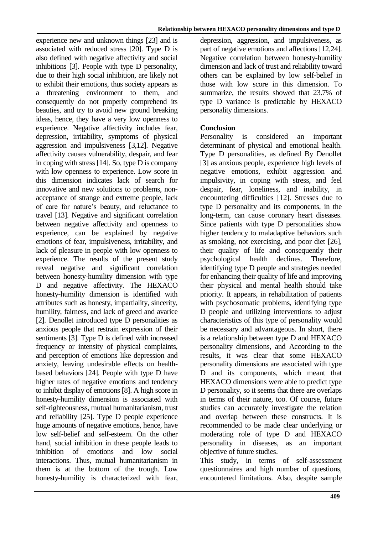experience new and unknown things [23] and is associated with reduced stress [20]. Type D is also defined with negative affectivity and social inhibitions [3]. People with type D personality, due to their high social inhibition, are likely not to exhibit their emotions, thus society appears as a threatening environment to them, and consequently do not properly comprehend its beauties, and try to avoid new ground breaking ideas, hence, they have a very low openness to experience. Negative affectivity includes fear, depression, irritability, symptoms of physical aggression and impulsiveness [3,12]. Negative affectivity causes vulnerability, despair, and fear in coping with stress [14]. So, type D is company with low openness to experience. Low score in this dimension indicates lack of search for innovative and new solutions to problems, nonacceptance of strange and extreme people, lack of care for nature's beauty, and reluctance to travel [13]. Negative and significant correlation between negative affectivity and openness to experience, can be explained by negative emotions of fear, impulsiveness, irritability, and lack of pleasure in people with low openness to experience. The results of the present study reveal negative and significant correlation between honesty-humility dimension with type D and negative affectivity. The HEXACO honesty-humility dimension is identified with attributes such as honesty, impartiality, sincerity, humility, fairness, and lack of greed and avarice [2]. Denollet introduced type D personalities as anxious people that restrain expression of their sentiments [3]. Type D is defined with increased frequency or intensity of physical complaints, and perception of emotions like depression and anxiety, leaving undesirable effects on healthbased behaviors [24]. People with type D have higher rates of negative emotions and tendency to inhibit display of emotions [8]. A high score in honesty-humility dimension is associated with self-righteousness, mutual humanitarianism, trust and reliability [25]. Type D people experience huge amounts of negative emotions, hence, have low self-belief and self-esteem. On the other hand, social inhibition in these people leads to inhibition of emotions and low social interactions. Thus, mutual humanitarianism in them is at the bottom of the trough. Low honesty-humility is characterized with fear,

depression, aggression, and impulsiveness, as part of negative emotions and affections [12,24]. Negative correlation between honesty-humility dimension and lack of trust and reliability toward others can be explained by low self-belief in those with low score in this dimension. To summarize, the results showed that 23.7% of type D variance is predictable by HEXACO personality dimensions.

## **Conclusion**

Personality is considered an important determinant of physical and emotional health. Type D personalities, as defined By Denollet [3] as anxious people, experience high levels of negative emotions, exhibit aggression and impulsivity, in coping with stress, and feel despair, fear, loneliness, and inability, in encountering difficulties [12]. Stresses due to type D personality and its components, in the long-term, can cause coronary heart diseases. Since patients with type D personalities show higher tendency to maladaptive behaviors such as smoking, not exercising, and poor diet [26], their quality of life and consequently their psychological health declines. Therefore, identifying type D people and strategies needed for enhancing their quality of life and improving their physical and mental health should take priority. It appears, in rehabilitation of patients with psychosomatic problems, identifying type D people and utilizing interventions to adjust characteristics of this type of personality would be necessary and advantageous. In short, there is a relationship between type D and HEXACO personality dimensions, and According to the results, it was clear that some HEXACO personality dimensions are associated with type D and its components, which meant that HEXACO dimensions were able to predict type D personality, so it seems that there are overlaps in terms of their nature, too. Of course, future studies can accurately investigate the relation and overlap between these constructs. It is recommended to be made clear underlying or moderating role of type D and HEXACO personality in diseases, as an important objective of future studies.

This study, in terms of self-assessment questionnaires and high number of questions, encountered limitations. Also, despite sample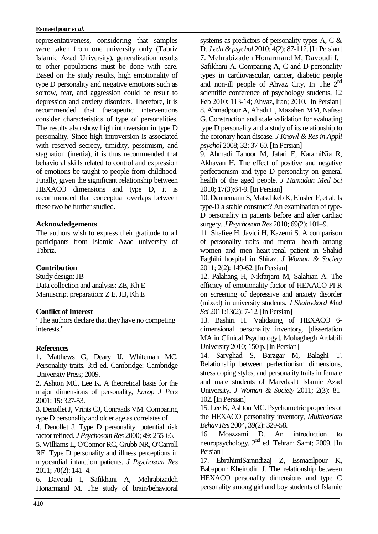#### **Esmaeilpour** *et al.*

representativeness, considering that samples were taken from one university only (Tabriz Islamic Azad University), generalization results to other populations must be done with care. Based on the study results, high emotionality of type D personality and negative emotions such as sorrow, fear, and aggression could be result to depression and anxiety disorders. Therefore, it is recommended that therapeutic interventions consider characteristics of type of personalities. The results also show high introversion in type D personality. Since high introversion is associated with reserved secrecy, timidity, pessimism, and stagnation (inertia), it is thus recommended that behavioral skills related to control and expression of emotions be taught to people from childhood. Finally, given the significant relationship between HEXACO dimensions and type D, it is recommended that conceptual overlaps between these two be further studied.

## **Acknowledgements**

The authors wish to express their gratitude to all participants from Islamic Azad university of Tabriz.

## **Contribution**

Study design: JB Data collection and analysis: ZE, Kh E Manuscript preparation: Z E, JB, Kh E

## **Conflict of Interest**

"The authors declare that they have no competing interests."

## **References**

1. Matthews G, Deary IJ, Whiteman MC. Personality traits. 3rd ed. Cambridge: Cambridge University Press; 2009.

2. Ashton MC, Lee K. A theoretical basis for the major dimensions of personality, *Europ J Pers*  2001; 15: 327-53.

3. Denollet J, Vrints CJ, Conraads VM. Comparing type D personality and older age as correlates of

4. Denollet J. Type D personality: potential risk factor refined. *J Psychosom Res* 2000; 49: 255-66.

5. Williams L, O'Connor RC, Grubb NR, O'Carroll RE. Type D personality and illness perceptions in myocardial infarction patients. *J Psychosom Res* 2011; 70(2): 141–4.

6. Davoudi I, Safikhani A, Mehrabizadeh Honarmand M. The study of brain/behavioral systems as predictors of personality types A, C & D. *J edu & psychol* 2010; 4(2): 87-112. [In Persian] 7. Mehrabizadeh Honarmand M, Davoudi I, Safikhani A. Comparing A, C and D personality types in cardiovascular, cancer, diabetic people and non-ill people of Ahvaz City, In The  $2<sup>nd</sup>$ scientific conference of psychology students, 12 Feb 2010: 113-14; Ahvaz, Iran; 2010. [In Persian] 8. Ahmadpour A, Ahadi H, Mazaheri MM, Nafissi G. Construction and scale validation for evaluating type D personality and a study of its relationship to the coronary heart disease. *J Knowl & Res in Appli psychol* 2008; 32: 37-60. [In Persian]

9. Ahmadi Tahoor M, Jafari E, KaramiNia R, Akhavan H. The effect of positive and negative perfectionism and type D personality on general health of the aged people. *J Hamadan Med Sci*  2010; 17(3):64-9. [In Persian]

10. Dannemann S, Matschkeb K, Einslec F, et al. Is type-D a stable construct? An examination of type-D personality in patients before and after cardiac surgery. *J Psychosom Res* 2010; 69(2): 101–9.

11. Shafiee H, Javidi H, Kazemi S. A comparison of personality traits and mental health among women and men heart-renal patient in Shahid Faghihi hospital in Shiraz. *J Woman & Society* 2011; 2(2): 149-62. [In Persian]

12. Palahang H, Nikfarjam M, Salahian A. The efficacy of emotionality factor of HEXACO-PI-R on screening of depressive and anxiety disorder (mixed) in university students. *J Shahrekord Med Sci* 2011:13(2): 7-12. [In Persian]

13. Bashiri H. Validating of HEXACO 6 dimensional personality inventory, [dissertation MA in Clinical Psychology]. Mohaghegh Ardabili University 2010; 150 p. [In Persian]

14. Sarvghad S, Barzgar M, Balaghi T. Relationship between perfectionism dimensions, stress coping styles, and personality traits in female and male students of Marvdasht Islamic Azad University. *J Woman & Society* 2011; 2(3): 81- 102. [In Persian]

15. Lee K, Ashton MC. Psychometric properties of the HEXACO personality inventory, *Multivariate Behav Res* 2004, 39(2): 329-58.

16. Moazzami D. An introduction to neuropsychology, 2<sup>nd</sup> ed. Tehran: Samt; 2009. [In Persian]

17. EbrahimiSarnndizaj Z, Esmaeilpour K, Babapour Kheirodin J. The relationship between HEXACO personality dimensions and type C personality among girl and boy students of Islamic